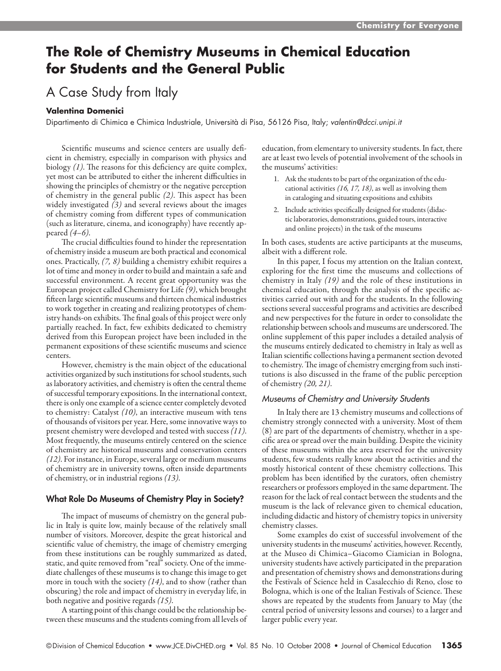# **The Role of Chemistry Museums in Chemical Education for Students and the General Public**

## A Case Study from Italy

#### **Valentina Domenici**

Dipartimento di Chimica e Chimica Industriale, Università di Pisa, 56126 Pisa, Italy; *valentin@dcci.unipi.it*

Scientific museums and science centers are usually deficient in chemistry, especially in comparison with physics and biology *(1)*. The reasons for this deficiency are quite complex, yet most can be attributed to either the inherent difficulties in showing the principles of chemistry or the negative perception of chemistry in the general public *(2)*. This aspect has been widely investigated *(3)* and several reviews about the images of chemistry coming from different types of communication (such as literature, cinema, and iconography) have recently appeared *(4–6)*.

The crucial difficulties found to hinder the representation of chemistry inside a museum are both practical and economical ones. Practically, *(7, 8)* building a chemistry exhibit requires a lot of time and money in order to build and maintain a safe and successful environment. A recent great opportunity was the European project called Chemistry for Life *(9)*, which brought fifteen large scientific museums and thirteen chemical industries to work together in creating and realizing prototypes of chemistry hands-on exhibits. The final goals of this project were only partially reached. In fact, few exhibits dedicated to chemistry derived from this European project have been included in the permanent expositions of these scientific museums and science centers.

However, chemistry is the main object of the educational activities organized by such institutions for school students, such as laboratory activities, and chemistry is often the central theme of successful temporary expositions. In the international context, there is only one example of a science center completely devoted to chemistry: Catalyst *(10)*, an interactive museum with tens of thousands of visitors per year. Here, some innovative ways to present chemistry were developed and tested with success *(11)*. Most frequently, the museums entirely centered on the science of chemistry are historical museums and conservation centers *(12)*. For instance, in Europe, several large or medium museums of chemistry are in university towns, often inside departments of chemistry, or in industrial regions *(13)*.

## What Role Do Museums of Chemistry Play in Society?

The impact of museums of chemistry on the general public in Italy is quite low, mainly because of the relatively small number of visitors. Moreover, despite the great historical and scientific value of chemistry, the image of chemistry emerging from these institutions can be roughly summarized as dated, static, and quite removed from "real" society. One of the immediate challenges of these museums is to change this image to get more in touch with the society *(14)*, and to show (rather than obscuring) the role and impact of chemistry in everyday life, in both negative and positive regards *(15)*.

A starting point of this change could be the relationship between these museums and the students coming from all levels of education, from elementary to university students. In fact, there are at least two levels of potential involvement of the schools in the museums' activities:

- 1. Ask the students to be part of the organization of the educational activities *(16, 17, 18)*, as well as involving them in cataloging and situating expositions and exhibits
- 2. Include activities specifically designed for students (didactic laboratories, demonstrations, guided tours, interactive and online projects) in the task of the museums

In both cases, students are active participants at the museums, albeit with a different role.

In this paper, I focus my attention on the Italian context, exploring for the first time the museums and collections of chemistry in Italy *(19)* and the role of these institutions in chemical education, through the analysis of the specific activities carried out with and for the students. In the following sections several successful programs and activities are described and new perspectives for the future in order to consolidate the relationship between schools and museums are underscored. The online supplement of this paper includes a detailed analysis of the museums entirely dedicated to chemistry in Italy as well as Italian scientific collections having a permanent section devoted to chemistry. The image of chemistry emerging from such institutions is also discussed in the frame of the public perception of chemistry *(20, 21)*.

#### *Museums of Chemistry and University Students*

In Italy there are 13 chemistry museums and collections of chemistry strongly connected with a university. Most of them (8) are part of the departments of chemistry, whether in a specific area or spread over the main building. Despite the vicinity of these museums within the area reserved for the university students, few students really know about the activities and the mostly historical content of these chemistry collections. This problem has been identified by the curators, often chemistry researchers or professors employed in the same department. The reason for the lack of real contact between the students and the museum is the lack of relevance given to chemical education, including didactic and history of chemistry topics in university chemistry classes.

Some examples do exist of successful involvement of the university students in the museums' activities, however. Recently, at the Museo di Chimica–Giacomo Ciamician in Bologna, university students have actively participated in the preparation and presentation of chemistry shows and demonstrations during the Festivals of Science held in Casalecchio di Reno, close to Bologna, which is one of the Italian Festivals of Science. These shows are repeated by the students from January to May (the central period of university lessons and courses) to a larger and larger public every year.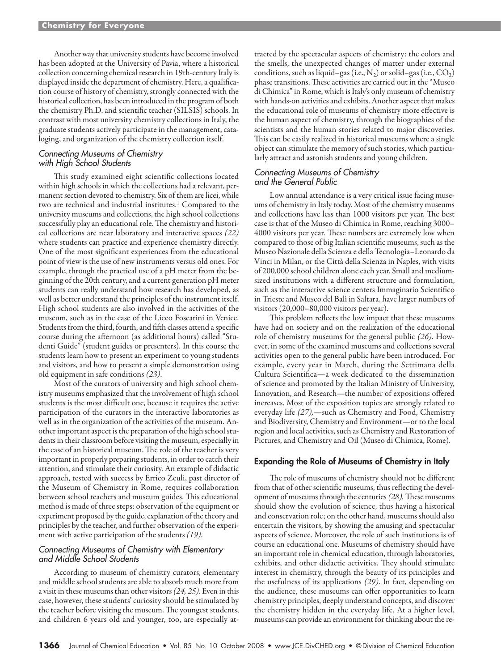Another way that university students have become involved has been adopted at the University of Pavia, where a historical collection concerning chemical research in 19th-century Italy is displayed inside the department of chemistry. Here, a qualification course of history of chemistry, strongly connected with the historical collection, has been introduced in the program of both the chemistry Ph.D. and scientific teacher (SILSIS) schools. In contrast with most university chemistry collections in Italy, the graduate students actively participate in the management, cataloging, and organization of the chemistry collection itself.

#### *Connecting Museums of Chemistry with High School Students*

This study examined eight scientific collections located within high schools in which the collections had a relevant, permanent section devoted to chemistry. Six of them are licei, while two are technical and industrial institutes.<sup>1</sup> Compared to the university museums and collections, the high school collections successfully play an educational role. The chemistry and historical collections are near laboratory and interactive spaces *(22)* where students can practice and experience chemistry directly. One of the most significant experiences from the educational point of view is the use of new instruments versus old ones. For example, through the practical use of a pH meter from the beginning of the 20th century, and a current generation pH meter students can really understand how research has developed, as well as better understand the principles of the instrument itself. High school students are also involved in the activities of the museum, such as in the case of the Liceo Foscarini in Venice. Students from the third, fourth, and fifth classes attend a specific course during the afternoon (as additional hours) called "Studenti Guide" (student guides or presenters). In this course the students learn how to present an experiment to young students and visitors, and how to present a simple demonstration using old equipment in safe conditions *(23)*.

Most of the curators of university and high school chemistry museums emphasized that the involvement of high school students is the most difficult one, because it requires the active participation of the curators in the interactive laboratories as well as in the organization of the activities of the museum. Another important aspect is the preparation of the high school students in their classroom before visiting the museum, especially in the case of an historical museum. The role of the teacher is very important in properly preparing students, in order to catch their attention, and stimulate their curiosity. An example of didactic approach, tested with success by Errico Zeuli, past director of the Museum of Chemistry in Rome, requires collaboration between school teachers and museum guides. This educational method is made of three steps: observation of the equipment or experiment proposed by the guide, explanation of the theory and principles by the teacher, and further observation of the experiment with active participation of the students *(19)*.

## *Connecting Museums of Chemistry with Elementary and Middle School Students*

According to museum of chemistry curators, elementary and middle school students are able to absorb much more from a visit in these museums than other visitors *(24, 25)*. Even in this case, however, these students' curiosity should be stimulated by the teacher before visiting the museum. The youngest students, and children 6 years old and younger, too, are especially attracted by the spectacular aspects of chemistry: the colors and the smells, the unexpected changes of matter under external conditions, such as liquid–gas (i.e.,  $N_2$ ) or solid–gas (i.e.,  $CO_2$ ) phase transitions. These activities are carried out in the "Museo di Chimica" in Rome, which is Italy's only museum of chemistry with hands-on activities and exhibits. Another aspect that makes the educational role of museums of chemistry more effective is the human aspect of chemistry, through the biographies of the scientists and the human stories related to major discoveries. This can be easily realized in historical museums where a single object can stimulate the memory of such stories, which particularly attract and astonish students and young children.

## *Connecting Museums of Chemistry and the General Public*

Low annual attendance is a very critical issue facing museums of chemistry in Italy today. Most of the chemistry museums and collections have less than 1000 visitors per year. The best case is that of the Museo di Chimica in Rome, reaching 3000– 4000 visitors per year. These numbers are extremely low when compared to those of big Italian scientific museums, such as the Museo Nazionale della Scienza e della Tecnologia–Leonardo da Vinci in Milan, or the Città della Scienza in Naples, with visits of 200,000 school children alone each year. Small and mediumsized institutions with a different structure and formulation, such as the interactive science centers Immaginario Scientifico in Trieste and Museo del Balì in Saltara, have larger numbers of visitors (20,000–80,000 visitors per year).

This problem reflects the low impact that these museums have had on society and on the realization of the educational role of chemistry museums for the general public *(26)*. However, in some of the examined museums and collections several activities open to the general public have been introduced. For example, every year in March, during the Settimana della Cultura Scientifica—a week dedicated to the dissemination of science and promoted by the Italian Ministry of University, Innovation, and Research—the number of expositions offered increases. Most of the exposition topics are strongly related to everyday life *(27),*—such as Chemistry and Food, Chemistry and Biodiversity, Chemistry and Environment—or to the local region and local activities, such as Chemistry and Restoration of Pictures, and Chemistry and Oil (Museo di Chimica, Rome).

## Expanding the Role of Museums of Chemistry in Italy

The role of museums of chemistry should not be different from that of other scientific museums, thus reflecting the development of museums through the centuries *(28).* These museums should show the evolution of science, thus having a historical and conservation role; on the other hand, museums should also entertain the visitors, by showing the amusing and spectacular aspects of science. Moreover, the role of such institutions is of course an educational one. Museums of chemistry should have an important role in chemical education, through laboratories, exhibits, and other didactic activities. They should stimulate interest in chemistry, through the beauty of its principles and the usefulness of its applications *(29)*. In fact, depending on the audience, these museums can offer opportunities to learn chemistry principles, deeply understand concepts, and discover the chemistry hidden in the everyday life. At a higher level, museums can provide an environment for thinking about the re